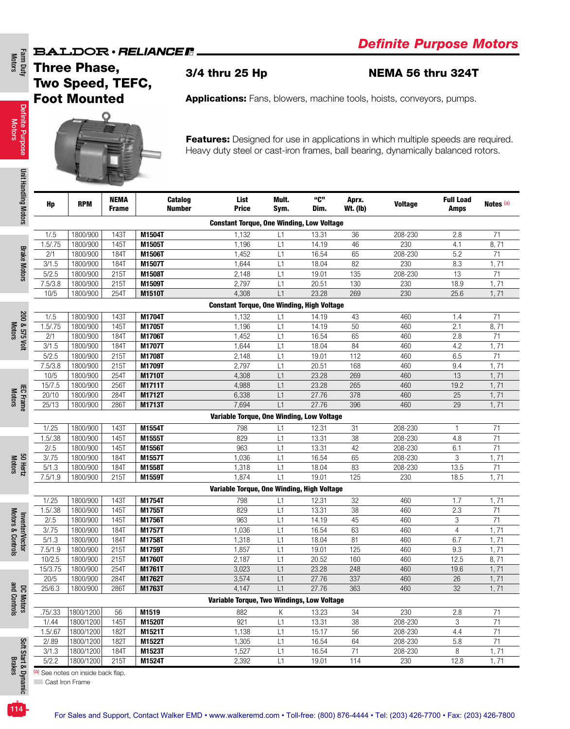### 3/4 thru 25 Hp NEMA 56 thru 324T



|                  | <b>Three Phase,</b><br>Two Speed, TEFC, |              |                         | 3/4 thru 25 Hp                                                                    |          |                |                 | <b>NEMA 56 thru 324T</b> |                  |                 |
|------------------|-----------------------------------------|--------------|-------------------------|-----------------------------------------------------------------------------------|----------|----------------|-----------------|--------------------------|------------------|-----------------|
|                  | <b>Foot Mounted</b>                     |              |                         | <b>Applications:</b> Fans, blowers, machine tools, hoists, conveyors, pumps.      |          |                |                 |                          |                  |                 |
|                  |                                         |              |                         |                                                                                   |          |                |                 |                          |                  |                 |
|                  |                                         |              |                         |                                                                                   |          |                |                 |                          |                  |                 |
|                  |                                         |              |                         | Features: Designed for use in applications in which multiple speeds are required. |          |                |                 |                          |                  |                 |
|                  |                                         |              |                         | Heavy duty steel or cast-iron frames, ball bearing, dynamically balanced rotors.  |          |                |                 |                          |                  |                 |
|                  |                                         |              |                         |                                                                                   |          |                |                 |                          |                  |                 |
|                  |                                         |              |                         |                                                                                   |          |                |                 |                          |                  |                 |
|                  |                                         |              |                         |                                                                                   |          |                |                 |                          |                  |                 |
|                  |                                         | <b>NEMA</b>  | Catalog                 | List                                                                              | Mult.    | "C"            | Aprx.           |                          | <b>Full Load</b> |                 |
| Hp               | <b>RPM</b>                              | <b>Frame</b> | <b>Number</b>           | <b>Price</b>                                                                      | Sym.     | Dim.           | <b>Wt. (Ib)</b> | <b>Voltage</b>           | Amps             | Notes (a)       |
|                  |                                         |              |                         | <b>Constant Torque, One Winding, Low Voltage</b>                                  |          |                |                 |                          |                  |                 |
| 1/0.5            | 1800/900                                | 143T         | M1504T                  | 1,132                                                                             | L1       | 13.31          | 36              | 208-230                  | 2.8              | 71              |
| 1.5 / .75        | 1800/900                                | <b>145T</b>  | M1505T                  | 1,196                                                                             | L1       | 14.19          | 46              | 230                      | 4.1              | 8,71            |
| 2/1              | 1800/900                                | 184T         | M1506T                  | 1,452                                                                             | L1       | 16.54          | 65              | 208-230                  | 5.2              | 71              |
| 3/1.5            | 1800/900                                | 184T         | M1507T                  | 1,644                                                                             | L1       | 18.04          | 82              | 230                      | 8.3              | 1,71            |
| 5/2.5            | 1800/900                                | 215T         | M1508T                  | 2,148                                                                             | L1       | 19.01          | 135             | 208-230                  | 13               | 71              |
| 7.5/3.8          | 1800/900                                | 215T         | M1509T                  | 2,797                                                                             | L1       | 20.51          | 130             | 230                      | 18.9             | 1,71            |
| 10/5             | 1800/900                                | 254T         | M1510T                  | 4,308                                                                             | L1       | 23.28          | 269             | 230                      | 25.6             | 1, 71           |
|                  |                                         |              |                         | <b>Constant Torque, One Winding, High Voltage</b>                                 |          |                |                 |                          |                  |                 |
| 1/0.5            | 1800/900                                | 143T         | M1704T                  | 1,132                                                                             | L1       | 14.19          | 43              | 460                      | 1.4              | 71              |
| 1.5 / .75        | 1800/900                                | 145T         | M1705T                  | 1,196                                                                             | L1       | 14.19          | 50              | 460                      | 2.1              | 8,71            |
| 2/1              | 1800/900                                | 184T         | M1706T                  | 1,452                                                                             | L1       | 16.54          | 65              | 460                      | 2.8              | 71              |
| 3/1.5            | 1800/900                                | 184T         | M1707T                  | 1,644                                                                             | L1       | 18.04          | 84              | 460                      | 4.2              | 1,71            |
| 5/2.5<br>7.5/3.8 | 1800/900<br>1800/900                    | 215T<br>215T | <b>M1708T</b><br>M1709T | 2,148<br>2,797                                                                    | L1<br>L1 | 19.01<br>20.51 | 112<br>168      | 460<br>460               | 6.5<br>9.4       | 71<br>1,71      |
| 10/5             | 1800/900                                | 254T         | M1710T                  | 4,308                                                                             | L1       | 23.28          | 269             | 460                      | 13               | 1,71            |
| 15/7.5           | 1800/900                                | 256T         | M1711T                  | 4,988                                                                             | L1       | 23.28          | 265             | 460                      | 19.2             | 1,71            |
| 20/10            | 1800/900                                | 284T         | M1712T                  | 6,338                                                                             | L1       | 27.76          | 378             | 460                      | 25               | 1,71            |
| 25/13            | 1800/900                                | 286T         | M1713T                  | 7,694                                                                             | L1       | 27.76          | 396             | 460                      | 29               | 1,71            |
|                  |                                         |              |                         | Variable Torque, One Winding, Low Voltage                                         |          |                |                 |                          |                  |                 |
| 1/0.25           | 1800/900                                | 143T         | M1554T                  | 798                                                                               | L1       | 12.31          | 31              | 208-230                  | $\mathbf{1}$     | 71              |
| 1.5/0.38         | 1800/900                                | 145T         | M1555T                  | 829                                                                               | L1       | 13.31          | 38              | 208-230                  | 4.8              | 71              |
| 2/.5             | 1800/900                                | <b>145T</b>  | M1556T                  | 963                                                                               | L1       | 13.31          | 42              | 208-230                  | 6.1              | 71              |
| 3/75             | 1800/900                                | 184T         | M1557T                  | 1,036                                                                             | L1       | 16.54          | 65              | 208-230                  | 3                | 1,71            |
| 5/1.3            | 1800/900                                | 184T         | M1558T                  | 1,318                                                                             | L1       | 18.04          | 83              | 208-230                  | 13.5             | $\overline{71}$ |
| 7.5/1.9          | 1800/900                                | 215T         | M1559T                  | 1,874                                                                             | L1       | 19.01          | 125             | 230                      | 18.5             | 1, 71           |
|                  |                                         |              |                         | Variable Torque, One Winding, High Voltage                                        |          |                |                 |                          |                  |                 |
| 1/0.25           | 1800/900                                | 143T         | M1754T                  | 798                                                                               | L1       | 12.31          | 32              | 460                      | 1.7              | 1,71            |
| 1.5/0.38         | 1800/900                                | 145T         | M1755T                  | 829                                                                               | L1       | 13.31          | 38              | 460                      | 2.3              | 71              |
| 2/0.5            | 1800/900                                | 145T         | M1756T                  | 963                                                                               | L1       | 14.19          | 45              | 460                      | 3                | 71              |
| 3/0.75           | 1800/900                                | 184T         | M1757T                  | 1,036                                                                             | L1       | 16.54          | 63              | 460                      | $\overline{4}$   | 1, 71           |
| 5/1.3<br>7.5/1.9 | 1800/900<br>1800/900                    | 184T<br>215T | M1758T<br>M1759T        | 1,318<br>1,857                                                                    | L1<br>L1 | 18.04<br>19.01 | 81<br>125       | 460<br>460               | 6.7<br>9.3       | 1, 71<br>1, 71  |
| 10/2.5           | 1800/900                                | 215T         | M1760T                  | 2,187                                                                             | L1       | 20.52          | 160             | 460                      | 12.5             | 8,71            |
| 15/3.75          | 1800/900                                | 254T         | M1761T                  | 3,023                                                                             | L1       | 23.28          | 248             | 460                      | 19.6             | 1,71            |
| 20/5             | 1800/900                                | 284T         | M1762T                  | 3,574                                                                             | L1       | 27.76          | 337             | 460                      | 26               | 1, 71           |
| 25/6.3           | 1800/900                                | 286T         | M1763T                  | 4,147                                                                             | L1       | 27.76          | 363             | 460                      | 32               | 1,71            |
|                  |                                         |              |                         | Variable Torque, Two Windings, Low Voltage                                        |          |                |                 |                          |                  |                 |
| .75/.33          | 1800/1200                               | 56           | M1519                   | 882                                                                               | Κ        | 13.23          | 34              | 230                      | 2.8              | 71              |
| 1/0.44           | 1800/1200                               | 145T         | M1520T                  | 921                                                                               | L1       | 13.31          | 38              | 208-230                  | 3                | 71              |
| 1.5/0.67         | 1800/1200                               | 182T         | M1521T                  | 1,138                                                                             | L1       | 15.17          | 56              | 208-230                  | 4.4              | 71              |
| 2/0.89           | 1800/1200                               | 182T         | M1522T                  | 1,305                                                                             | L1       | 16.54          | 64              | 208-230                  | 5.8              | 71              |
| 3/1.3            | 1800/1200                               | 184T         | M1523T                  | 1,527                                                                             | L1       | 16.54          | 71              | 208-230                  | 8                | 1,71            |
| 5/2.2            | 1800/1200                               | 215T         | M1524T                  | 2,392                                                                             | L1       | 19.01          | 114             | 230                      | 12.8             | 1,71            |
|                  |                                         |              |                         |                                                                                   |          |                |                 |                          |                  |                 |

Motors

and Controls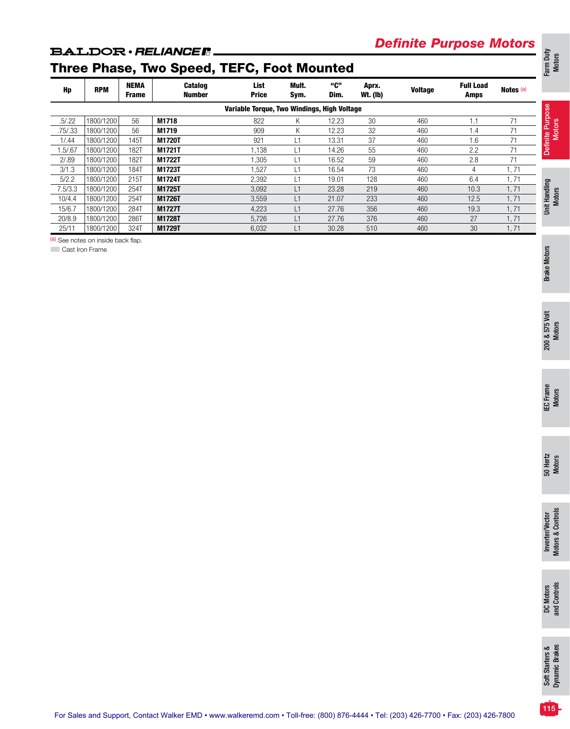# *Definite Purpose Motors*

# Three Phase, Two Speed, TEFC, Foot Mounted

| Hp      | <b>RPM</b> | <b>NEMA</b><br><b>Frame</b> | <b>Catalog</b><br>Number | List<br><b>Price</b>                        | Mult.<br>Sym.  | "ር"<br>Dim. | Aprx.<br><b>Wt. (Ib)</b> | <b>Voltage</b> | <b>Full Load</b><br>Amps | Notes <sup>(a)</sup> |
|---------|------------|-----------------------------|--------------------------|---------------------------------------------|----------------|-------------|--------------------------|----------------|--------------------------|----------------------|
|         |            |                             |                          | Variable Torque, Two Windings, High Voltage |                |             |                          |                |                          |                      |
| .5/.22  | 1800/1200  | 56                          | M1718                    | 822                                         | Κ              | 12.23       | 30                       | 460            | 1.1                      | 71                   |
| .75/.33 | 1800/1200  | 56                          | M1719                    | 909                                         | Κ              | 12.23       | 32                       | 460            | 1.4                      | 71                   |
| 1/0.44  | 1800/1200  | 145T                        | M1720T                   | 921                                         | $\overline{1}$ | 13.31       | 37                       | 460            | 1.6                      | 71                   |
| .5/67   | 1800/1200  | 182T                        | M1721T                   | 1,138                                       | ί1             | 14.26       | 55                       | 460            | 2.2                      | 71                   |
| 2/0.89  | 1800/1200  | 182T                        | M1722T                   | 1,305                                       | L1             | 16.52       | 59                       | 460            | 2.8                      | 71                   |
| 3/1.3   | 1800/1200  | 184T                        | M1723T                   | 1.527                                       | $\overline{1}$ | 16.54       | 73                       | 460            | 4                        | .71                  |
| 5/2.2   | 1800/1200  | 215T                        | M1724T                   | 2,392                                       | ∟1             | 19.01       | 128                      | 460            | 6.4                      | l. 71                |
| 7.5/3.3 | 1800/1200  | 254T                        | M1725T                   | 3,092                                       | L1             | 23.28       | 219                      | 460            | 10.3                     | 1,71                 |
| 10/4.4  | 1800/1200  | 254T                        | M1726T                   | 3,559                                       | L1             | 21.07       | 233                      | 460            | 12.5                     | I, 71                |
| 15/6.7  | 1800/1200  | 284T                        | <b>M1727T</b>            | 4,223                                       | L1             | 27.76       | 356                      | 460            | 19.3                     | 1,71                 |
| 20/8.9  | 1800/1200  | 286T                        | M1728T                   | 5,726                                       | L1             | 27.76       | 376                      | 460            | 27                       | 1,71                 |
| 25/11   | 1800/1200  | 324T                        | M1729T                   | 6,032                                       | $\overline{1}$ | 30.28       | 510                      | 460            | 30                       | 1,71                 |

(a) See notes on inside back flap.

**Cast Iron Frame** 

Farm Duty Motors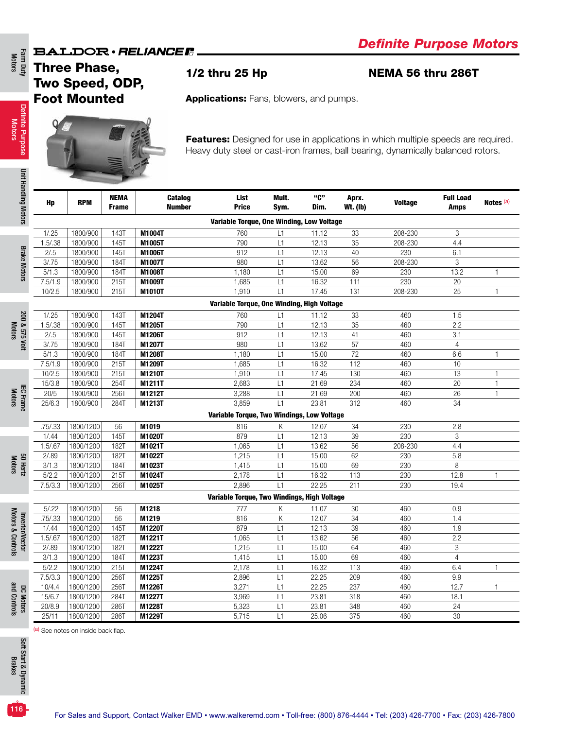Three Phase, Two Speed, ODP, Foot Mounted

1/2 thru 25 Hp NEMA 56 thru 286T

Applications: Fans, blowers, and pumps.



Features: Designed for use in applications in which multiple speeds are required. Heavy duty steel or cast-iron frames, ball bearing, dynamically balanced rotors.

| ndling Motors                        | Hp                 | <b>RPM</b> | <b>NEMA</b><br><b>Frame</b> | Catalog<br><b>Number</b> | List<br><b>Price</b>                        | Mult.<br>Sym. | "C"<br>Dim. | Aprx.<br><b>Wt. (Ib)</b> | <b>Voltage</b> | <b>Full Load</b><br><b>Amps</b> | Notes <sup>(a)</sup> |
|--------------------------------------|--------------------|------------|-----------------------------|--------------------------|---------------------------------------------|---------------|-------------|--------------------------|----------------|---------------------------------|----------------------|
|                                      |                    |            |                             |                          | Variable Torque, One Winding, Low Voltage   |               |             |                          |                |                                 |                      |
|                                      | 1/0.25             | 1800/900   | 143T                        | M1004T                   | 760                                         | L1            | 11.12       | 33                       | $208 - 230$    | 3                               |                      |
|                                      | 1.5/0.38           | 1800/900   | <b>145T</b>                 | M1005T                   | 790                                         | L1            | 12.13       | $\overline{35}$          | 208-230        | 4.4                             |                      |
| <b>Brake Motors</b>                  | 2/0.5              | 1800/900   | 1451                        | M1006T                   | 912                                         | L1            | 12.13       | 40                       | 230            | 6.1                             |                      |
|                                      | 3/75               | 1800/900   | <b>184T</b>                 | M1007T                   | 980                                         | L1            | 13.62       | $\overline{56}$          | 208-230        | $\overline{3}$                  |                      |
|                                      | 5/1.3              | 1800/900   | <b>184T</b>                 | M1008T                   | 1,180                                       | L1            | 15.00       | 69                       | 230            | 13.2                            | 1                    |
|                                      | 7.5/1.9            | 1800/900   | 215T                        | M1009T                   | 1,685                                       | L1            | 16.32       | 111                      | 230            | 20                              |                      |
|                                      | 10/2.5             | 1800/900   | 215T                        | M1010T                   | 1,910                                       | L1            | 17.45       | 131                      | 208-230        | 25                              | $\mathbf{1}$         |
|                                      |                    |            |                             |                          | Variable Torque, One Winding, High Voltage  |               |             |                          |                |                                 |                      |
|                                      | 1/0.25             | 1800/900   | 143T                        | M1204T                   | 760                                         | L1            | 11.12       | 33                       | 460            | 1.5                             |                      |
| 200 & 575 Volt                       | 1.5/0.38           | 1800/900   | 145T                        | M1205T                   | 790                                         | L1            | 12.13       | 35                       | 460            | 2.2                             |                      |
| <b>Motors</b>                        | 2/0.5              | 1800/900   | 145T                        | M1206T                   | 912                                         | L1            | 12.13       | 41                       | 460            | 3.1                             |                      |
|                                      | 3/0.75             | 1800/900   | 184T                        | M1207T                   | 980                                         | L1            | 13.62       | 57                       | 460            | $\overline{4}$                  |                      |
|                                      | $\overline{5}/1.3$ | 1800/900   | 184T                        | M1208T                   | 1,180                                       | L1            | 15.00       | 72                       | 460            | 6.6                             | 1                    |
|                                      | 7.5/1.9            | 1800/900   | 215T                        | M1209T                   | 1,685                                       | L1            | 16.32       | 112                      | 460            | 10                              |                      |
|                                      | 10/2.5             | 1800/900   | 215T                        | M1210T                   | 1,910                                       | L1            | 17.45       | 130                      | 460            | $\overline{13}$                 | $\mathbf{1}$         |
|                                      | 15/3.8             | 1800/900   | 254T                        | M1211T                   | 2,683                                       | L1            | 21.69       | 234                      | 460            | 20                              | 1                    |
|                                      | 20/5               | 1800/900   | 256T                        | M1212T                   | 3,288                                       | L1            | 21.69       | $\overline{200}$         | 460            | $\overline{26}$                 | $\mathbf{1}$         |
| <b>IEC Frame</b><br>Motors           | 25/6.3             | 1800/900   | 284T                        | M1213T                   | 3,859                                       | L1            | 23.81       | 312                      | 460            | $\overline{34}$                 |                      |
|                                      |                    |            |                             |                          | Variable Torque, Two Windings, Low Voltage  |               |             |                          |                |                                 |                      |
|                                      | .75/.33            | 1800/1200  | 56                          | M1019                    | 816                                         | Κ             | 12.07       | 34                       | 230            | 2.8                             |                      |
|                                      | 1/0.44             | 1800/1200  | 145T                        | M1020T                   | 879                                         | L1            | 12.13       | 39                       | 230            | 3                               |                      |
|                                      | 1.5/0.67           | 1800/1200  | <b>182T</b>                 | M1021T                   | 1,065                                       | L1            | 13.62       | $\overline{56}$          | 208-230        | 4.4                             |                      |
| 50 Hertz<br>Motors                   | 2/0.89             | 1800/1200  | <b>182T</b>                 | M1022T                   | 1,215                                       | L1            | 15.00       | 62                       | 230            | 5.8                             |                      |
|                                      | 3/1.3              | 1800/1200  | 184T                        | M1023T                   | 1,415                                       | L1            | 15.00       | 69                       | 230            | 8                               |                      |
|                                      | 5/2.2              | 1800/1200  | 215T                        | M1024T                   | 2,178                                       | L1            | 16.32       | 113                      | 230            | 12.8                            | $\mathbf{1}$         |
|                                      | 7.5/3.3            | 1800/1200  | 256T                        | M1025T                   | 2,896                                       | L1            | 22.25       | 211                      | 230            | 19.4                            |                      |
|                                      |                    |            |                             |                          | Variable Torque, Two Windings, High Voltage |               |             |                          |                |                                 |                      |
|                                      | .5/.22             | 1800/1200  | 56                          | M1218                    | 777                                         | Κ             | 11.07       | 30                       | 460            | 0.9                             |                      |
|                                      | .75/.33            | 1800/1200  | 56                          | M1219                    | 816                                         | K             | 12.07       | 34                       | 460            | 1.4                             |                      |
| Motors & Controls<br>Inverter/Vector | 1/0.44             | 1800/1200  | <b>145T</b>                 | M1220T                   | 879                                         | L1            | 12.13       | 39                       | 460            | 1.9                             |                      |
|                                      | 1.5/0.67           | 1800/1200  | <b>182T</b>                 | M1221T                   | 1,065                                       | L1            | 13.62       | 56                       | 460            | 2.2                             |                      |
|                                      | 2/0.89             | 1800/1200  | <b>182T</b>                 | M1222T                   | 1,215                                       | L1            | 15.00       | 64                       | 460            | 3                               |                      |
|                                      | 3/1.3              | 1800/1200  | <b>184T</b>                 | M1223T                   | 1,415                                       | L1            | 15.00       | 69                       | 460            | $\overline{4}$                  |                      |
|                                      | 5/2.2              | 1800/1200  | 215T                        | M1224T                   | 2,178                                       | L1            | 16.32       | 113                      | 460            | 6.4                             | $\mathbf{1}$         |
|                                      | 7.5/3.3            | 1800/1200  | 256T                        | M1225T                   | 2,896                                       | L1            | 22.25       | 209                      | 460            | 9.9                             |                      |
|                                      | 10/4.4             | 1800/1200  | 256T                        | M1226T                   | 3,271                                       | L1            | 22.25       | 237                      | 460            | 12.7                            | $\mathbf{1}$         |
|                                      | 15/6.7             | 1800/1200  | 284T                        | M1227T                   | 3,969                                       | L1            | 23.81       | 318                      | 460            | 18.1                            |                      |
| DC Motors<br>and Controls            | 20/8.9             | 1800/1200  | 286T                        | M1228T                   | 5,323                                       | L1            | 23.81       | 348                      | 460            | 24                              |                      |
|                                      | 25/11              | 1800/1200  | 286T                        | M1229T                   | 5,715                                       | L1            | 25.06       | 375                      | 460            | $\overline{30}$                 |                      |
|                                      |                    |            |                             |                          |                                             |               |             |                          |                |                                 |                      |

For Sales and Support, Contact Walker EMD • www.walkeremd.com • Toll-free: (800) 876-4444 • Tel: (203) 426-7700 • Fax: (203) 426-7800

Definite Purpose Definite Purpose<br>Motors

Soft Start & Dynamic Soft Start & Dynamic<br>Brakes

116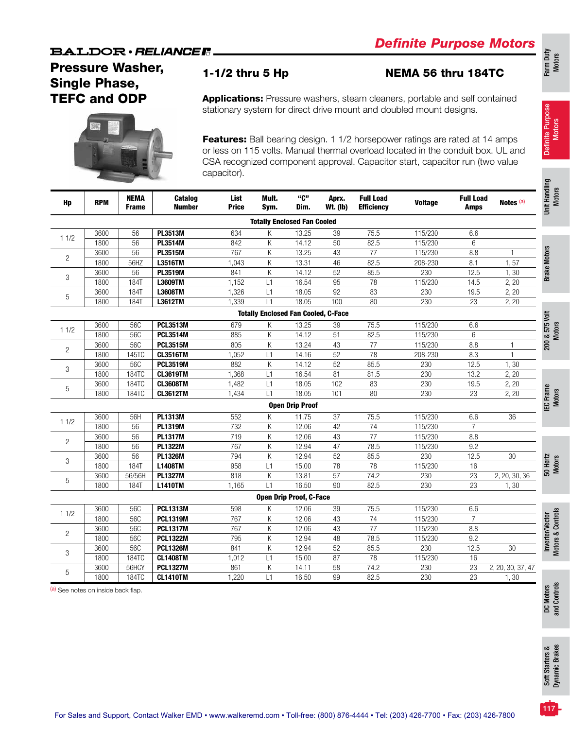# Pressure Washer, Single Phase, TEFC and ODP



## 1-1/2 thru 5 Hp NEMA 56 thru 184TC

Applications: Pressure washers, steam cleaners, portable and self contained stationary system for direct drive mount and doubled mount designs.

Features: Ball bearing design. 1 1/2 horsepower ratings are rated at 14 amps or less on 115 volts. Manual thermal overload located in the conduit box. UL and CSA recognized component approval. Capacitor start, capacitor run (two value capacitor).

| Hp             | <b>RPM</b> | <b>NEMA</b><br><b>Frame</b> | Catalog<br><b>Number</b> | List<br><b>Price</b> | Mult.<br>Sym.                              | "C"<br>Dim.                    | Aprx.<br><b>Wt. (Ib)</b> | <b>Full Load</b><br><b>Efficiency</b> | <b>Voltage</b> | <b>Full Load</b><br>Amps | Notes (a)         | Unit Handling<br>Motors              |
|----------------|------------|-----------------------------|--------------------------|----------------------|--------------------------------------------|--------------------------------|--------------------------|---------------------------------------|----------------|--------------------------|-------------------|--------------------------------------|
|                |            |                             |                          |                      | <b>Totally Enclosed Fan Cooled</b>         |                                |                          |                                       |                |                          |                   |                                      |
| 11/2           | 3600       | 56                          | PL3513M                  | 634                  | Κ                                          | 13.25                          | 39                       | 75.5                                  | 115/230        | 6.6                      |                   |                                      |
|                | 1800       | 56                          | PL3514M                  | 842                  | Κ                                          | 14.12                          | 50                       | 82.5                                  | 115/230        | 6                        |                   |                                      |
| $\overline{c}$ | 3600       | 56                          | <b>PL3515M</b>           | 767                  | K                                          | 13.25                          | 43                       | 77                                    | 115/230        | 8.8                      | 1                 | <b>Brake Motors</b>                  |
|                | 1800       | 56HZ                        | L3516TM                  | 1,043                | К                                          | 13.31                          | 46                       | 82.5                                  | 208-230        | 8.1                      | 1,57              |                                      |
| 3              | 3600       | 56                          | <b>PL3519M</b>           | 841                  | К                                          | 14.12                          | 52                       | 85.5                                  | 230            | 12.5                     | 1,30              |                                      |
|                | 1800       | 184T                        | L3609TM                  | 1,152                | L1                                         | 16.54                          | 95                       | 78                                    | 115/230        | 14.5                     | 2, 20             |                                      |
| 5              | 3600       | <b>184T</b>                 | <b>L3608TM</b>           | 1,326                | L1                                         | 18.05                          | 92                       | 83                                    | 230            | 19.5                     | 2, 20             |                                      |
|                | 1800       | <b>184T</b>                 | L3612TM                  | 1,339                | $\overline{L1}$                            | 18.05                          | 100                      | 80                                    | 230            | 23                       | 2, 20             |                                      |
|                |            |                             |                          |                      | <b>Totally Enclosed Fan Cooled, C-Face</b> |                                |                          |                                       |                |                          |                   | 200 & 575 Volt                       |
|                | 3600       | 56C                         | <b>PCL3513M</b>          | 679                  | Κ                                          | 13.25                          | 39                       | 75.5                                  | 115/230        | 6.6                      |                   |                                      |
| 11/2           | 1800       | 56C                         | <b>PCL3514M</b>          | 885                  | К                                          | 14.12                          | $\overline{51}$          | 82.5                                  | 115/230        | 6                        |                   |                                      |
|                | 3600       | 56C                         | <b>PCL3515M</b>          | 805                  | K                                          | 13.24                          | 43                       | $\overline{77}$                       | 115/230        | 8.8                      |                   |                                      |
| $\overline{c}$ | 1800       | 145TC                       | <b>CL3516TM</b>          | 1.052                | L1                                         | 14.16                          | 52                       | 78                                    | 208-230        | 8.3                      | $\mathbf{1}$      |                                      |
|                | 3600       | 56C                         | <b>PCL3519M</b>          | 882                  | К                                          | 14.12                          | 52                       | 85.5                                  | 230            | 12.5                     | 1,30              |                                      |
| 3              | 1800       | 184TC                       | <b>CL3619TM</b>          | 1,368                | L1                                         | 16.54                          | 81                       | 81.5                                  | 230            | 13.2                     | 2, 20             |                                      |
|                | 3600       | 184TC                       | <b>CL3608TM</b>          | 1,482                | L1                                         | 18.05                          | 102                      | 83                                    | 230            | 19.5                     | 2, 20             |                                      |
| 5              | 1800       | 184TC                       | <b>CL3612TM</b>          | 1,434                | L1                                         | 18.05                          | 101                      | 80                                    | 230            | $\overline{23}$          | 2, 20             |                                      |
|                |            |                             |                          |                      |                                            | <b>Open Drip Proof</b>         |                          |                                       |                |                          |                   | <b>IEC Frame</b><br>Motors           |
|                | 3600       | 56H                         | <b>PL1313M</b>           | 552                  | Κ                                          | 11.75                          | 37                       | 75.5                                  | 115/230        | 6.6                      | 36                |                                      |
| 11/2           | 1800       | $\overline{56}$             | <b>PL1319M</b>           | 732                  | Κ                                          | 12.06                          | 42                       | $\overline{74}$                       | 115/230        | $\overline{7}$           |                   |                                      |
|                | 3600       | $\overline{56}$             | <b>PL1317M</b>           | $\overline{719}$     | K                                          | 12.06                          | $\overline{43}$          | $\overline{77}$                       | 115/230        | 8.8                      |                   |                                      |
| $\overline{2}$ | 1800       | 56                          | <b>PL1322M</b>           | 767                  | K                                          | 12.94                          | 47                       | 78.5                                  | 115/230        | 9.2                      |                   |                                      |
|                | 3600       | 56                          | <b>PL1326M</b>           | 794                  | K                                          | 12.94                          | 52                       | 85.5                                  | 230            | 12.5                     | 30                |                                      |
| 3              | 1800       | <b>184T</b>                 | <b>L1408TM</b>           | 958                  | L1                                         | 15.00                          | 78                       | 78                                    | 115/230        | 16                       |                   | 50 Hertz<br>Motors                   |
|                | 3600       | 56/56H                      | <b>PL1327M</b>           | 818                  | К                                          | 13.81                          | 57                       | 74.2                                  | 230            | 23                       | 2, 20, 30, 36     |                                      |
| 5              | 1800       | 184T                        | <b>L1410TM</b>           | 1,165                | L1                                         | 16.50                          | 90                       | 82.5                                  | 230            | $\overline{23}$          | 1,30              |                                      |
|                |            |                             |                          |                      |                                            | <b>Open Drip Proof, C-Face</b> |                          |                                       |                |                          |                   |                                      |
|                | 3600       | 56C                         | <b>PCL1313M</b>          | 598                  | Κ                                          | 12.06                          | 39                       | 75.5                                  | 115/230        | 6.6                      |                   |                                      |
| 11/2           | 1800       | 56C                         | <b>PCL1319M</b>          | 767                  | К                                          | 12.06                          | 43                       | 74                                    | 115/230        | $\overline{7}$           |                   |                                      |
|                | 3600       | 56C                         | <b>PCL1317M</b>          | 767                  | K                                          | 12.06                          | 43                       | $\overline{77}$                       | 115/230        | 8.8                      |                   |                                      |
| $\overline{c}$ | 1800       | 56C                         | <b>PCL1322M</b>          | 795                  | К                                          | 12.94                          | 48                       | 78.5                                  | 115/230        | $\overline{9.2}$         |                   | Inverter/Vector<br>Motors & Controls |
|                | 3600       | 56C                         | <b>PCL1326M</b>          | 841                  | K                                          | 12.94                          | 52                       | 85.5                                  | 230            | 12.5                     | 30                |                                      |
| 3              | 1800       | <b>184TC</b>                | <b>CL1408TM</b>          | 1,012                | L1                                         | 15.00                          | 87                       | 78                                    | 115/230        | 16                       |                   |                                      |
|                | 3600       | 56HCY                       | <b>PCL1327M</b>          | 861                  | К                                          | 14.11                          | 58                       | 74.2                                  | 230            | 23                       | 2, 20, 30, 37, 47 |                                      |
| 5              | 1800       | 184TC                       | <b>CL1410TM</b>          | 1,220                | L1                                         | 16.50                          | $\overline{99}$          | 82.5                                  | 230            | $\overline{23}$          | 1, 30             |                                      |

(a) See notes on inside back flap.

117

Definite Purpose Motors

ling

Definite Purpose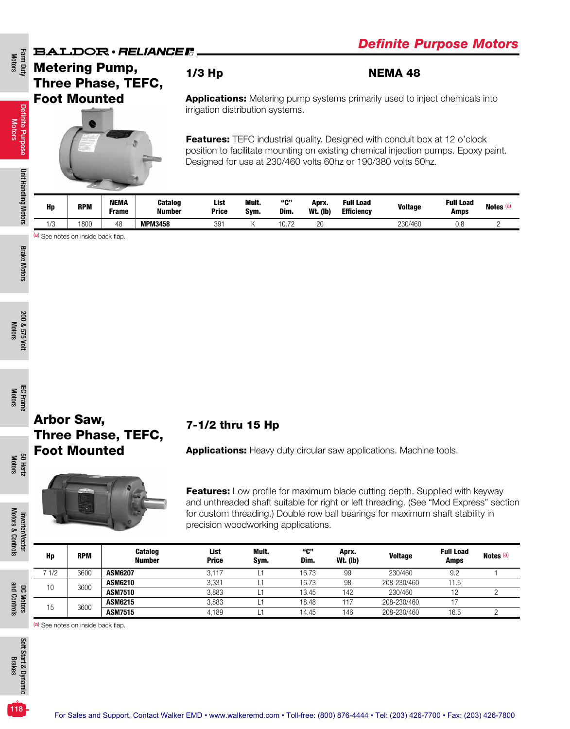Farm Duty<br>Motors

Definite Purpose Motors

Definite Purpose

Unit Handling Motors

Unit Handling Motors

# Metering Pump, Three Phase, TEFC, Foot Mounted



### 1/3 Hp NEMA 48

**Applications:** Metering pump systems primarily used to inject chemicals into irrigation distribution systems.

Features: TEFC industrial quality. Designed with conduit box at 12 o'clock position to facilitate mounting on existing chemical injection pumps. Epoxy paint. Designed for use at 230/460 volts 60hz or 190/380 volts 50hz.

| Hp        | <b>RPM</b> | <b>NEMA</b><br>Frame | Catalog<br>Number | <b>List</b><br><b>Price</b> | Mult.<br>Svm. | "ር"<br>Dim. | Aprx.<br><b>Wt. (Ib)</b> | <b>Full Load</b><br><b>Efficiency</b> | <b>Voltage</b> | <b>Full Load</b><br>Amps | Notes (a) |
|-----------|------------|----------------------|-------------------|-----------------------------|---------------|-------------|--------------------------|---------------------------------------|----------------|--------------------------|-----------|
| 10<br>ں ر | 800        | 48                   | <b>MPM3458</b>    | 391                         |               | 0.12        | 20                       |                                       | 230/460        | 0.8                      |           |

(a) See notes on inside back flap.

Motors 50 Hertz

Motors & Controls

Motors & Controls

and Controls

and Controls

# Arbor Saw, Three Phase, TEFC, Foot Mounted



7-1/2 thru 15 Hp

Features: Low profile for maximum blade cutting depth. Supplied with keyway and unthreaded shaft suitable for right or left threading. (See "Mod Express" section for custom threading.) Double row ball bearings for maximum shaft stability in precision woodworking applications.

Applications: Heavy duty circular saw applications. Machine tools.

| Inverter/Vector |       |            |                                 | precision woodworking applications. |               |             |                          | for custom threading.) Double row ball bearings for maximum shaft stability in |                                 |           |
|-----------------|-------|------------|---------------------------------|-------------------------------------|---------------|-------------|--------------------------|--------------------------------------------------------------------------------|---------------------------------|-----------|
|                 | Hp    | <b>RPM</b> | <b>Catalog</b><br><b>Number</b> | <b>List</b><br><b>Price</b>         | Mult.<br>Sym. | "C"<br>Dim. | Aprx.<br><b>Wt. (lb)</b> | <b>Voltage</b>                                                                 | <b>Full Load</b><br><b>Amps</b> | Notes (a) |
|                 | 7 1/2 | 3600       | <b>ASM6207</b>                  | 3.117                               |               | 16.73       | 99                       | 230/460                                                                        | 9.2                             |           |
|                 | 10    | 3600       | <b>ASM6210</b>                  | 3.331                               |               | 16.73       | 98                       | 208-230/460                                                                    | 11.5                            |           |
| కె              |       |            | <b>ASM7510</b>                  | 3.883                               |               | 13.45       | 142                      | 230/460                                                                        |                                 |           |
| <b>Motors</b>   | 15    | 3600       | <b>ASM6215</b>                  | 3,883                               |               | 18.48       | 117                      | 208-230/460                                                                    |                                 |           |
|                 |       |            | <b>ASM7515</b>                  | 4,189                               |               | 14.45       | 146                      | 208-230/460                                                                    | 16.5                            |           |

(a) See notes on inside back flap.

 $118<sup>1</sup>$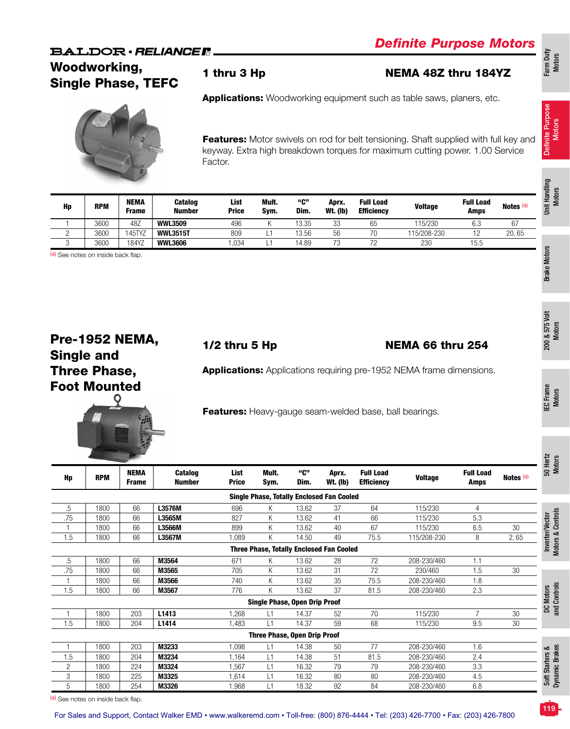# Woodworking, woodworking, and thru 3 Hp NEMA 48Z thru 184YZ<br>Single Phase, TEFC



Applications: Woodworking equipment such as table saws, planers, etc.

Features: Motor swivels on rod for belt tensioning. Shaft supplied with full key and keyway. Extra high breakdown torques for maximum cutting power. 1.00 Service Factor.

|                                    |            |                      |                                 |                      |               |             |                          |                                       |                |                                 |                      | Handling           |
|------------------------------------|------------|----------------------|---------------------------------|----------------------|---------------|-------------|--------------------------|---------------------------------------|----------------|---------------------------------|----------------------|--------------------|
| Hp                                 | <b>RPM</b> | NEMA<br><b>Frame</b> | <b>Catalog</b><br><b>Number</b> | List<br><b>Price</b> | Mult.<br>Sym. | "ር"<br>Dim. | Aprx.<br><b>Wt. (Ib)</b> | <b>Full Load</b><br><b>Efficiency</b> | <b>Voltage</b> | <b>Full Load</b><br><b>Amps</b> | Notes <sup>(a)</sup> | <b>Motors</b><br>İ |
|                                    | 3600       | 48Z                  | <b>WWL3509</b>                  | 496                  | K.            | 13.35       | 33                       | 65                                    | 115/230        | 6.3                             | 67                   |                    |
| っ                                  | 3600       | 145TYZ               | <b>WWL3515T</b>                 | 809                  | L1            | 13.56       | 56                       | 70                                    | 115/208-230    | 12                              | 20,65                |                    |
| 3                                  | 3600       | 184YZ                | <b>WWL3606</b>                  | 1,034                | L1            | 14.89       | 73                       | 72                                    | 230            | 15.5                            |                      |                    |
| (a) See notes on inside back flap. |            |                      |                                 |                      |               |             |                          |                                       |                |                                 |                      | <b>Motors</b>      |
|                                    |            |                      |                                 |                      |               |             |                          |                                       |                |                                 |                      |                    |
|                                    |            |                      |                                 |                      |               |             |                          |                                       |                |                                 |                      | <b>Brake</b>       |
|                                    |            |                      |                                 |                      |               |             |                          |                                       |                |                                 |                      |                    |

# Pre-1952 NEMA, Single and Three Phase, Foot Mounted

# 1/2 thru 5 Hp NEMA 66 thru 254

Applications: Applications requiring pre-1952 NEMA frame dimensions.

Features: Heavy-gauge seam-welded base, ball bearings.

| Hp             | <b>RPM</b> | <b>NEMA</b><br><b>Frame</b> | <b>Catalog</b><br><b>Number</b> | List<br><b>Price</b> | Mult.<br>Sym. | "C"<br>Dim.                          | Aprx.<br><b>Wt. (Ib)</b>                         | <b>Full Load</b><br><b>Efficiency</b> | <b>Voltage</b> | <b>Full Load</b><br><b>Amps</b> | Notes (a) | SO He<br>Mote                     |
|----------------|------------|-----------------------------|---------------------------------|----------------------|---------------|--------------------------------------|--------------------------------------------------|---------------------------------------|----------------|---------------------------------|-----------|-----------------------------------|
|                |            |                             |                                 |                      |               |                                      | <b>Single Phase, Totally Enclosed Fan Cooled</b> |                                       |                |                                 |           |                                   |
| .5             | 1800       | 66                          | L3576M                          | 696                  | K             | 13.62                                | 37                                               | 64                                    | 115/230        | $\overline{4}$                  |           |                                   |
| .75            | 1800       | 66                          | L3565M                          | 827                  | K             | 13.62                                | 41                                               | 66                                    | 115/230        | 5.3                             |           |                                   |
|                | 1800       | 66                          | L3566M                          | 899                  | K             | 13.62                                | 40                                               | 67                                    | 115/230        | 6.5                             | 30        |                                   |
| 1.5            | 1800       | 66                          | L3567M                          | 1,089                | K             | 14.50                                | 49                                               | 75.5                                  | 115/208-230    | 8                               | 2,65      | Inverter/Vector                   |
|                |            |                             |                                 |                      |               |                                      | <b>Three Phase, Totally Enclosed Fan Cooled</b>  |                                       |                |                                 |           | Motors & Controls                 |
| .5             | 1800       | 66                          | M3564                           | 671                  | K             | 13.62                                | 28                                               | 72                                    | 208-230/460    | 1.1                             |           |                                   |
| .75            | 1800       | 66                          | M3565                           | 705                  | Κ             | 13.62                                | 31                                               | 72                                    | 230/460        | 1.5                             | 30        |                                   |
|                | 1800       | 66                          | M3566                           | 740                  | K             | 13.62                                | 35                                               | 75.5                                  | 208-230/460    | 1.8                             |           |                                   |
| 1.5            | 1800       | 66                          | M3567                           | 776                  | K             | 13.62                                | 37                                               | 81.5                                  | 208-230/460    | 2.3                             |           |                                   |
|                |            |                             |                                 |                      |               | <b>Single Phase, Open Drip Proof</b> |                                                  |                                       |                |                                 |           | DC Motors<br>and Controls         |
|                | 1800       | 203                         | L1413                           | .268                 | L1            | 14.37                                | 52                                               | 70                                    | 115/230        | $\overline{7}$                  | 30        |                                   |
| 1.5            | 1800       | 204                         | L <sub>1414</sub>               | .483                 | L1            | 14.37                                | 59                                               | 68                                    | 115/230        | 9.5                             | 30        |                                   |
|                |            |                             |                                 |                      |               | <b>Three Phase, Open Drip Proof</b>  |                                                  |                                       |                |                                 |           |                                   |
|                | 1800       | 203                         | M3233                           | 1,098                | L1            | 14.38                                | 50                                               | 77                                    | 208-230/460    | 1.6                             |           |                                   |
| 1.5            | 1800       | 204                         | M3234                           | 1,164                | L1            | 14.38                                | 51                                               | 81.5                                  | 208-230/460    | 2.4                             |           |                                   |
| $\overline{2}$ | 1800       | 224                         | M3324                           | .567                 | L1            | 16.32                                | 79                                               | 79                                    | 208-230/460    | 3.3                             |           |                                   |
| 3              | 1800       | 225                         | M3325                           | .614                 | L1            | 16.32                                | 80                                               | 80                                    | 208-230/460    | 4.5                             |           | Soft Starters &<br>Dynamic Brakes |
| 5              | 1800       | 254                         | M3326                           | 1,968                | L1            | 18.32                                | 92                                               | 84                                    | 208-230/460    | 6.8                             |           |                                   |

(a) See notes on inside back flap.

119

Definite Purpose Definite Purpose

200 & 575 Volt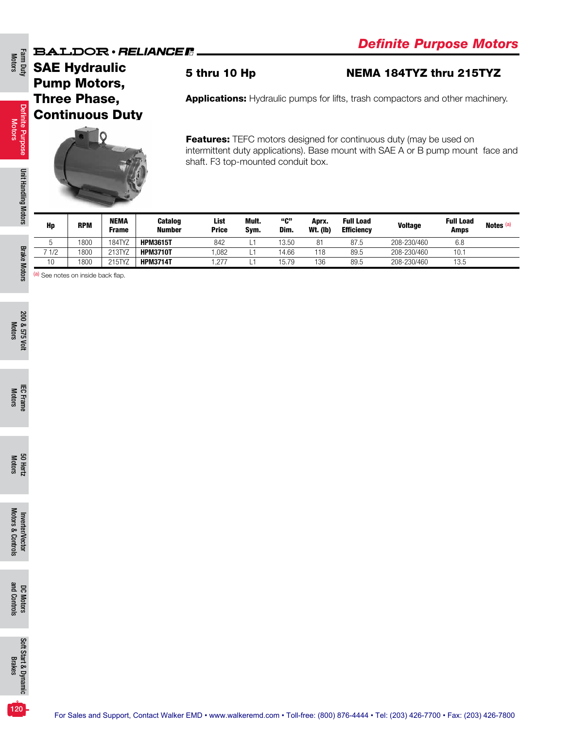SAE Hydraulic Pump Motors, Three Phase, Continuous Duty



Features: TEFC motors designed for continuous duty (may be used on intermittent duty applications). Base mount with SAE A or B pump mount face and shaft. F3 top-mounted conduit box.

5 thru 10 Hp NEMA 184TYZ thru 215TYZ

Applications: Hydraulic pumps for lifts, trash compactors and other machinery.

| Hp                    | <b>RPM</b> | <b>NEMA</b><br><b>Frame</b> | <b>Catalog</b><br><b>Number</b> | List<br><b>Price</b> | Mult.<br>Sym. | "ር"<br>Dim. | Aprx.<br><b>Wt. (Ib)</b> | <b>Full Load</b><br><b>Efficiency</b> | <b>Voltage</b> | <b>Full Load</b><br><b>Amps</b> | Notes <sup>(a)</sup> |
|-----------------------|------------|-----------------------------|---------------------------------|----------------------|---------------|-------------|--------------------------|---------------------------------------|----------------|---------------------------------|----------------------|
|                       | 1800       | 184TYZ                      | <b>HPM3615T</b>                 | 842                  |               | 13.50       | 81                       | 87.5                                  | 208-230/460    | 6.8                             |                      |
| 7 1/2                 | 1800       | 213TYZ                      | <b>HPM3710T</b>                 | .082                 |               | 14.66       | 118                      | 89.5                                  | 208-230/460    | 10.7                            |                      |
| $\overline{10}$<br>ιv | 1800       | 215TYZ                      | <b>HPM3714T</b>                 | 1,277                |               | 15.79       | 136                      | 89.5                                  | 208-230/460    | 13.5                            |                      |

(a) See notes on inside back flap.

200 & 575 Volt 200 & 575 Volt Motors

120

Definite Purpose Definite Purpose<br>Motors

Farm Duty<br>Motors

Unit Handling Motors Unit Handling Motors

Brake Motors

**Brake Motors**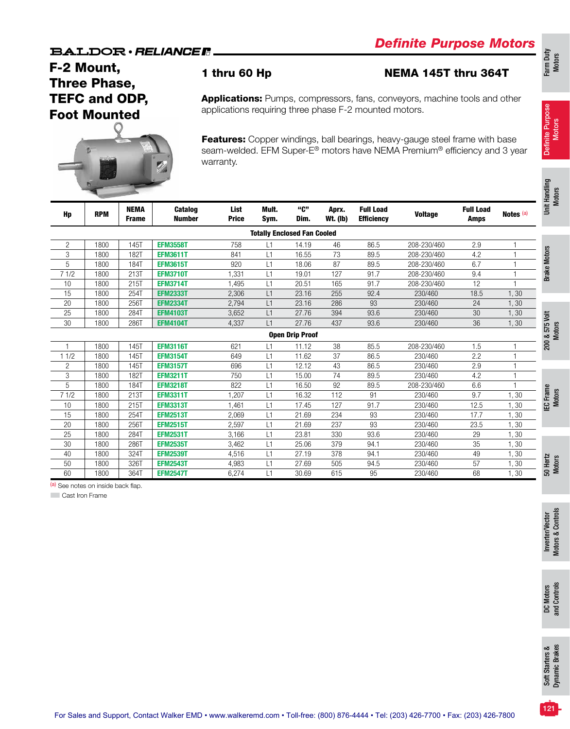# F-2 Mount, Three Phase, TEFC and ODP, Foot Mounted



## 1 thru 60 Hp NEMA 145T thru 364T

Applications: Pumps, compressors, fans, conveyors, machine tools and other applications requiring three phase F-2 mounted motors.

Features: Copper windings, ball bearings, heavy-gauge steel frame with base seam-welded. EFM Super-E<sup>®</sup> motors have NEMA Premium<sup>®</sup> efficiency and 3 year warranty.

|                | ы          |                             |                                 |                      |                                    |                        |                          |                                       |                |                                 |                | Unit Handling<br><b>Motors</b>  |
|----------------|------------|-----------------------------|---------------------------------|----------------------|------------------------------------|------------------------|--------------------------|---------------------------------------|----------------|---------------------------------|----------------|---------------------------------|
| Hp             | <b>RPM</b> | <b>NEMA</b><br><b>Frame</b> | <b>Catalog</b><br><b>Number</b> | List<br><b>Price</b> | Mult.<br>Sym.                      | "ር"<br>Dim.            | Aprx.<br><b>Wt.</b> (lb) | <b>Full Load</b><br><b>Efficiency</b> | <b>Voltage</b> | <b>Full Load</b><br><b>Amps</b> | Notes (a)      |                                 |
|                |            |                             |                                 |                      | <b>Totally Enclosed Fan Cooled</b> |                        |                          |                                       |                |                                 |                |                                 |
| $\overline{c}$ | 1800       | 145T                        | <b>EFM3558T</b>                 | 758                  | L1                                 | 14.19                  | 46                       | 86.5                                  | 208-230/460    | 2.9                             | $\mathbf{1}$   |                                 |
| 3              | 1800       | 182T                        | <b>EFM3611T</b>                 | 841                  | L1                                 | 16.55                  | 73                       | 89.5                                  | 208-230/460    | 4.2                             |                |                                 |
| 5              | 1800       | 184T                        | <b>EFM3615T</b>                 | 920                  | L1                                 | 18.06                  | 87                       | 89.5                                  | 208-230/460    | 6.7                             |                | <b>Brake Motors</b>             |
| 71/2           | 1800       | 213T                        | <b>EFM3710T</b>                 | 1.331                | L1                                 | 19.01                  | 127                      | 91.7                                  | 208-230/460    | 9.4                             |                |                                 |
| 10             | 1800       | 215T                        | <b>EFM3714T</b>                 | 1.495                | L1                                 | 20.51                  | 165                      | 91.7                                  | 208-230/460    | 12                              | $\overline{1}$ |                                 |
| 15             | 1800       | 254T                        | <b>EFM2333T</b>                 | 2,306                | L1                                 | 23.16                  | 255                      | 92.4                                  | 230/460        | 18.5                            | 1,30           |                                 |
| 20             | 1800       | 256T                        | <b>EFM2334T</b>                 | 2,794                | L1                                 | 23.16                  | 286                      | 93                                    | 230/460        | 24                              | 1,30           |                                 |
| 25             | 1800       | 284T                        | <b>EFM4103T</b>                 | 3,652                | L1                                 | 27.76                  | 394                      | 93.6                                  | 230/460        | 30                              | 1,30           |                                 |
| 30             | 1800       | 286T                        | <b>EFM4104T</b>                 | 4,337                | L1                                 | 27.76                  | 437                      | 93.6                                  | 230/460        | 36                              | 1,30           |                                 |
|                |            |                             |                                 |                      |                                    | <b>Open Drip Proof</b> |                          |                                       |                |                                 |                | 200 & 575 Volt<br><b>Motors</b> |
| $\mathbf 1$    | 1800       | 145T                        | <b>EFM3116T</b>                 | 621                  | L1                                 | 11.12                  | 38                       | 85.5                                  | 208-230/460    | 1.5                             | $\overline{1}$ |                                 |
| 11/2           | 1800       | 145T                        | <b>EFM3154T</b>                 | 649                  | L1                                 | 11.62                  | 37                       | 86.5                                  | 230/460        | 2.2                             | $\overline{1}$ |                                 |
| 2              | 1800       | 145T                        | <b>EFM3157T</b>                 | 696                  | L1                                 | 12.12                  | 43                       | 86.5                                  | 230/460        | 2.9                             | $\overline{1}$ |                                 |
| 3              | 1800       | 182T                        | <b>EFM3211T</b>                 | 750                  | L1                                 | 15.00                  | 74                       | 89.5                                  | 230/460        | 4.2                             | $\overline{1}$ |                                 |
| 5              | 1800       | 184T                        | <b>EFM3218T</b>                 | 822                  | L1                                 | 16.50                  | 92                       | 89.5                                  | 208-230/460    | 6.6                             |                |                                 |
| 71/2           | 1800       | 213T                        | <b>EFM3311T</b>                 | 1.207                | L1                                 | 16.32                  | 112                      | 91                                    | 230/460        | 9.7                             | 1,30           | EC Frame<br><b>Motors</b>       |
| 10             | 1800       | 215T                        | <b>EFM3313T</b>                 | 1,461                | L1                                 | 17.45                  | 127                      | 91.7                                  | 230/460        | 12.5                            | 1,30           |                                 |
| 15             | 1800       | 254T                        | <b>EFM2513T</b>                 | 2,069                | L1                                 | 21.69                  | 234                      | 93                                    | 230/460        | 17.7                            | 1,30           |                                 |
| 20             | 1800       | 256T                        | <b>EFM2515T</b>                 | 2,597                | L1                                 | 21.69                  | 237                      | 93                                    | 230/460        | 23.5                            | 1,30           |                                 |
| 25             | 1800       | 284T                        | <b>EFM2531T</b>                 | 3,166                | L1                                 | 23.81                  | 330                      | 93.6                                  | 230/460        | 29                              | 1,30           |                                 |
| 30             | 1800       | 286T                        | <b>EFM2535T</b>                 | 3,462                | L1                                 | 25.06                  | 379                      | 94.1                                  | 230/460        | 35                              | 1,30           |                                 |
| 40             | 1800       | 324T                        | <b>EFM2539T</b>                 | 4,516                | L1                                 | 27.19                  | 378                      | 94.1                                  | 230/460        | 49                              | 1,30           |                                 |
| 50             | 1800       | 326T                        | <b>EFM2543T</b>                 | 4,983                | L1                                 | 27.69                  | 505                      | 94.5                                  | 230/460        | 57                              | 1,30           | 50 Hertz<br><b>Motors</b>       |
| 60             | 1800       | 364T                        | <b>EFM2547T</b>                 | 6,274                | L1                                 | 30.69                  | 615                      | 95                                    | 230/460        | 68                              | 1,30           |                                 |

(a) See notes on inside back flap.

**Cast Iron Frame** 

121

Definite Purpose Motors

Definite Purpose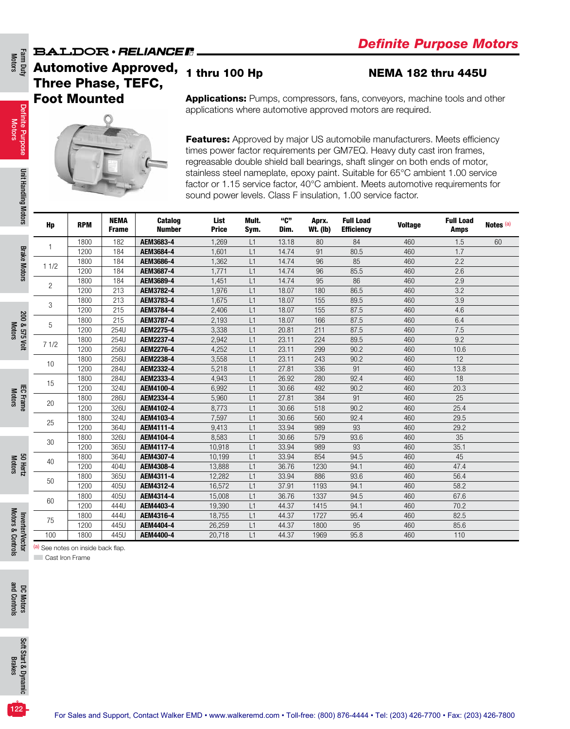# **BALDOR** · RELIANCE F Automotive Approved, Three Phase, TEFC, Foot Mounted

# 1 thru 100 Hp **NEMA 182 thru 445U**

Applications: Pumps, compressors, fans, conveyors, machine tools and other applications where automotive approved motors are required.



Features: Approved by major US automobile manufacturers. Meets efficiency times power factor requirements per GM7EQ. Heavy duty cast iron frames, regreasable double shield ball bearings, shaft slinger on both ends of motor, stainless steel nameplate, epoxy paint. Suitable for 65°C ambient 1.00 service factor or 1.15 service factor, 40°C ambient. Meets automotive requirements for sound power levels. Class F insulation, 1.00 service factor.

| Hp             | <b>RPM</b> | <b>NEMA</b><br><b>Frame</b> | <b>Catalog</b><br><b>Number</b> | List<br><b>Price</b> | Mult.<br>Sym. | "ር"<br>Dim. | Aprx.<br><b>Wt. (lb)</b> | <b>Full Load</b><br><b>Efficiency</b> | <b>Voltage</b> | <b>Full Load</b><br><b>Amps</b> | Notes (a) |
|----------------|------------|-----------------------------|---------------------------------|----------------------|---------------|-------------|--------------------------|---------------------------------------|----------------|---------------------------------|-----------|
|                | 1800       | 182                         | AEM3683-4                       | 1,269                | L1            | 13.18       | 80                       | 84                                    | 460            | 1.5                             | 60        |
|                | 1200       | 184                         | AEM3684-4                       | 1,601                | L1            | 14.74       | 91                       | 80.5                                  | 460            | 1.7                             |           |
| 11/2           | 1800       | 184                         | AEM3686-4                       | 1,362                | L1            | 14.74       | 96                       | 85                                    | 460            | 2.2                             |           |
|                | 1200       | 184                         | AEM3687-4                       | 1,771                | L1            | 14.74       | 96                       | 85.5                                  | 460            | 2.6                             |           |
| $\overline{c}$ | 1800       | 184                         | AEM3689-4                       | 1,451                | L1            | 14.74       | 95                       | 86                                    | 460            | 2.9                             |           |
|                | 1200       | 213                         | AEM3782-4                       | 1,976                | L1            | 18.07       | 180                      | 86.5                                  | 460            | 3.2                             |           |
| 3              | 1800       | 213                         | AEM3783-4                       | 1,675                | L1            | 18.07       | 155                      | 89.5                                  | 460            | 3.9                             |           |
|                | 1200       | 215                         | AEM3784-4                       | 2,406                | L1            | 18.07       | 155                      | 87.5                                  | 460            | 4.6                             |           |
| 5              | 1800       | 215                         | AEM3787-4                       | 2,193                | L1            | 18.07       | 166                      | 87.5                                  | 460            | 6.4                             |           |
|                | 1200       | 254U                        | AEM2275-4                       | 3,338                | L1            | 20.81       | 211                      | 87.5                                  | 460            | 7.5                             |           |
| 71/2           | 1800       | 254U                        | AEM2237-4                       | 2,942                | L1            | 23.11       | 224                      | 89.5                                  | 460            | 9.2                             |           |
|                | 1200       | 256U                        | AEM2276-4                       | 4,252                | L1            | 23.11       | 299                      | 90.2                                  | 460            | 10.6                            |           |
| 10             | 1800       | 256U                        | AEM2238-4                       | 3,558                | L1            | 23.11       | 243                      | 90.2                                  | 460            | 12                              |           |
|                | 1200       | 284U                        | AEM2332-4                       | 5,218                | L1            | 27.81       | 336                      | 91                                    | 460            | 13.8                            |           |
| 15             | 1800       | 284U                        | AEM2333-4                       | 4,943                | L1            | 26.92       | 280                      | 92.4                                  | 460            | 18                              |           |
|                | 1200       | 324U                        | AEM4100-4                       | 6,992                | L1            | 30.66       | 492                      | 90.2                                  | 460            | 20.3                            |           |
| 20             | 1800       | 286U                        | AEM2334-4                       | 5,960                | L1            | 27.81       | 384                      | 91                                    | 460            | 25                              |           |
|                | 1200       | 326U                        | AEM4102-4                       | 8,773                | L1            | 30.66       | 518                      | 90.2                                  | 460            | 25.4                            |           |
| 25             | 1800       | 324U                        | AEM4103-4                       | 7,597                | L1            | 30.66       | 560                      | 92.4                                  | 460            | 29.5                            |           |
|                | 1200       | 364U                        | AEM4111-4                       | 9,413                | L1            | 33.94       | 989                      | 93                                    | 460            | 29.2                            |           |
| 30             | 1800       | 326U                        | AEM4104-4                       | 8,583                | L1            | 30.66       | 579                      | 93.6                                  | 460            | 35                              |           |
|                | 1200       | 365U                        | AEM4117-4                       | 10,918               | L1            | 33.94       | 989                      | 93                                    | 460            | 35.1                            |           |
| 40             | 1800       | 364U                        | AEM4307-4                       | 10,199               | L1            | 33.94       | 854                      | 94.5                                  | 460            | 45                              |           |
|                | 1200       | 404U                        | AEM4308-4                       | 13,888               | L1            | 36.76       | 1230                     | 94.1                                  | 460            | 47.4                            |           |
|                | 1800       | 365U                        | AEM4311-4                       | 12,282               | L1            | 33.94       | 886                      | 93.6                                  | 460            | 56.4                            |           |
| 50             | 1200       | 405U                        | AEM4312-4                       | 16,572               | L1            | 37.91       | 1193                     | 94.1                                  | 460            | 58.2                            |           |
|                | 1800       | 405U                        | AEM4314-4                       | 15,008               | L1            | 36.76       | 1337                     | 94.5                                  | 460            | 67.6                            |           |
| 60             | 1200       | 444U                        | AEM4403-4                       | 19,390               | L1            | 44.37       | 1415                     | 94.1                                  | 460            | 70.2                            |           |
|                | 1800       | 444U                        | AEM4316-4                       | 18,755               | L1            | 44.37       | 1727                     | 95.4                                  | 460            | 82.5                            |           |
| 75             | 1200       | 445U                        | AEM4404-4                       | 26,259               | L1            | 44.37       | 1800                     | 95                                    | 460            | 85.6                            |           |
| 100            | 1800       | 445U                        | AEM4400-4                       | 20,718               | L1            | 44.37       | 1969                     | 95.8                                  | 460            | 110                             |           |

Definite Purpose Definite Purpose<br>Motors

**Cast Iron Frame** 

(a) See notes on inside back flap.

DC Motors<br>and Controls and Controls

122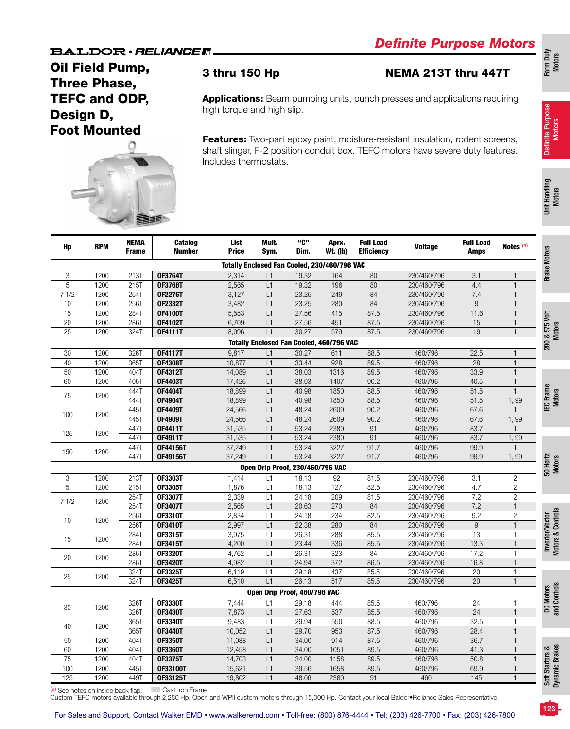Oil Field Pump, Three Phase, TEFC and ODP, Design D, Foot Mounted



### 3 thru 150 Hp NEMA 213T thru 447T

Applications: Beam pumping units, punch presses and applications requiring high torque and high slip.

Features: Two-part epoxy paint, moisture-resistant insulation, rodent screens, shaft slinger, F-2 position conduit box. TEFC motors have severe duty features. Includes thermostats.

Definite Purpose Motors

Definite Purpose

123

| Hp              | <b>RPM</b> | <b>NEMA</b><br><b>Frame</b> | Catalog<br><b>Number</b> | List<br><b>Price</b> | Mult.<br>Sym.                           | "ር"<br>Dim. | Aprx.<br>Wt. (lb)                               | <b>Full Load</b><br><b>Efficiency</b> | <b>Voltage</b> | <b>Full Load</b><br><b>Amps</b> | Notes (a)      |
|-----------------|------------|-----------------------------|--------------------------|----------------------|-----------------------------------------|-------------|-------------------------------------------------|---------------------------------------|----------------|---------------------------------|----------------|
|                 |            |                             |                          |                      |                                         |             | Totally Enclosed Fan Cooled, 230/460/796 VAC    |                                       |                |                                 |                |
| 3               | 1200       | 213T                        | 0F3764T                  | 2,314                | L1                                      | 19.32       | 164                                             | 80                                    | 230/460/796    | 3.1                             | 1              |
| 5               | 1200       | 215T                        | 0F3768T                  | 2,565                | L1                                      | 19.32       | 196                                             | 80                                    | 230/460/796    | 4.4                             | $\mathbf{1}$   |
| 71/2            | 1200       | 254T                        | <b>OF2276T</b>           | 3,127                | L1                                      | 23.25       | 249                                             | 84                                    | 230/460/796    | 7.4                             | $\mathbf{1}$   |
| 10              | 1200       | 256T                        | 0F2332T                  | 3,482                | L1                                      | 23.25       | 280                                             | $\overline{84}$                       | 230/460/796    | $\boldsymbol{9}$                | $\mathbf{1}$   |
| $\overline{15}$ | 1200       | 284T                        | <b>OF4100T</b>           | 5,553                | L1                                      | 27.56       | 415                                             | 87.5                                  | 230/460/796    | 11.6                            | $\mathbf{1}$   |
| 20              | 1200       | 286T                        | 0F4102T                  | 6,709                | L1                                      | 27.56       | 451                                             | 87.5                                  | 230/460/796    | $\overline{15}$                 | $\mathbf{1}$   |
| $\overline{25}$ | 1200       | 324T                        | 0F4111T                  | 8,096                | L1                                      | 30.27       | 579                                             | 87.5                                  | 230/460/796    | 19                              | $\mathbf{1}$   |
|                 |            |                             |                          |                      |                                         |             | <b>Totally Enclosed Fan Cooled, 460/796 VAC</b> |                                       |                |                                 |                |
| 30              | 1200       | 326T                        | <b>OF4117T</b>           | 9,817                | L1                                      | 30.27       | 611                                             | 88.5                                  | 460/796        | 22.5                            | $\mathbf{1}$   |
| 40              | 1200       | 365T                        | <b>OF4308T</b>           | 10,877               | L1                                      | 33.44       | 928                                             | 89.5                                  | 460/796        | $\overline{28}$                 | $\mathbf{1}$   |
| 50              | 1200       | 404T                        | 0F4312T                  | 14,089               | L1                                      | 38.03       | 1316                                            | 89.5                                  | 460/796        | 33.9                            | $\mathbf{1}$   |
| 60              | 1200       | 405T                        | 0F4403T                  | 17,426               | L1                                      | 38.03       | 1407                                            | 90.2                                  | 460/796        | 40.5                            | $\mathbf{1}$   |
|                 |            | 444T                        | 0F4404T                  | 18,899               | L1                                      | 40.98       | 1850                                            | 88.5                                  | 460/796        | 51.5                            | $\mathbf{1}$   |
| 75              | 1200       | 444T                        | 0F4904T                  | 18,899               | L1                                      | 40.98       | 1850                                            | 88.5                                  | 460/796        | 51.5                            | 1,99           |
|                 |            | 445T                        | <b>OF4409T</b>           | 24,566               | L1                                      | 48.24       | 2609                                            | 90.2                                  | 460/796        | 67.6                            | $\mathbf{1}$   |
| 100             | 1200       | 445T                        | <b>OF4909T</b>           | 24,566               | L1                                      | 48.24       | 2609                                            | 90.2                                  | 460/796        | 67.6                            | 1,99           |
|                 |            | 447T                        | 0F4411T                  | 31,535               | L1                                      | 53.24       | 2380                                            | 91                                    | 460/796        | 83.7                            | $\mathbf{1}$   |
| 125             | 1200       | 447T                        | 0F4911T                  | 31,535               | L1                                      | 53.24       | 2380                                            | $\overline{91}$                       | 460/796        | 83.7                            | 1,99           |
|                 |            | 447T                        | 0F44156T                 | 37,249               | L1                                      | 53.24       | 3227                                            | 91.7                                  | 460/796        | 99.9                            | $\mathbf{1}$   |
| 150             | 1200       | 447T                        | 0F49156T                 | 37,249               | L1                                      | 53.24       | 3227                                            | 91.7                                  | 460/796        | 99.9                            | 1,99           |
|                 |            |                             |                          |                      | <b>Open Drip Proof, 230/460/796 VAC</b> |             |                                                 |                                       |                |                                 |                |
| 3               | 1200       | 213T                        | 0F3303T                  | 1,414                | L1                                      | 18.13       | 92                                              | 81.5                                  | 230/460/796    | 3.1                             | $\overline{c}$ |
| 5               | 1200       | 215T                        | 0F3305T                  | 1,876                | L1                                      | 18.13       | 127                                             | 82.5                                  | 230/460/796    | 4.7                             | $\overline{c}$ |
|                 |            | 254T                        | 0F3307T                  | 2,339                | L1                                      | 24.18       | 209                                             | 81.5                                  | 230/460/796    | 7.2                             | $\overline{2}$ |
| 71/2            | 1200       | 254T                        | 0F3407T                  | 2,565                | L1                                      | 20.63       | 270                                             | $\overline{84}$                       | 230/460/796    | 7.2                             | $\mathbf{1}$   |
|                 |            | 256T                        | 0F3310T                  | 2,834                | L1                                      | 24.18       | 234                                             | 82.5                                  | 230/460/796    | 9.2                             | $\overline{2}$ |
| 10              | 1200       | 256T                        | 0F3410T                  | 2,997                | L1                                      | 22.38       | 280                                             | 84                                    | 230/460/796    | $9\,$                           | $\mathbf{1}$   |
|                 |            | 284T                        | 0F3315T                  | 3,975                | L1                                      | 26.31       | 288                                             | 85.5                                  | 230/460/796    | $\overline{13}$                 | $\mathbf{1}$   |
| 15              | 1200       | 284T                        | 0F3415T                  | 4,200                | L1                                      | 23.44       | 336                                             | 85.5                                  | 230/460/796    | 13.3                            | $\mathbf{1}$   |
|                 |            | 286T                        | <b>OF3320T</b>           | 4,762                | L1                                      | 26.31       | 323                                             | 84                                    | 230/460/796    | 17.2                            | 1              |
| 20              | 1200       | 286T                        | <b>OF3420T</b>           | 4,982                | L1                                      | 24.94       | $\overline{372}$                                | 86.5                                  | 230/460/796    | 16.8                            | $\mathbf{1}$   |
|                 |            | 324T                        | 0F3325T                  | 6,119                | L1                                      | 29.18       | 437                                             | 85.5                                  | 230/460/796    | $\overline{20}$                 | 1              |
| 25              | 1200       | 324T                        | 0F3425T                  | 6,510                | L1                                      | 26.13       | 517                                             | 85.5                                  | 230/460/796    | 20                              | $\mathbf{1}$   |
|                 |            |                             |                          |                      | Open Drip Proof, 460/796 VAC            |             |                                                 |                                       |                |                                 |                |
|                 |            | 326T                        | 0F3330T                  | 7,444                | L1                                      | 29.18       | 444                                             | 85.5                                  | 460/796        | 24                              | 1              |
| 30              | 1200       | 326T                        | 0F3430T                  | 7,873                | L1                                      | 27.63       | 537                                             | 85.5                                  | 460/796        | $\overline{24}$                 | $\mathbf{1}$   |
|                 |            | 365T                        | 0F3340T                  | 9,483                | L1                                      | 29.94       | 550                                             | 88.5                                  | 460/796        | 32.5                            | $\mathbf{1}$   |
| 40              | 1200       |                             |                          | 10,052               | L1                                      | 29.70       | 953                                             | 87.5                                  |                |                                 | $\mathbf{1}$   |
|                 |            | 365T                        | 0F3440T                  |                      |                                         |             |                                                 | 87.5                                  | 460/796        | 28.4<br>36.7                    |                |
| 50              | 1200       | 404T                        | <b>OF3350T</b>           | 11,088               | L1                                      | 34.00       | 914                                             |                                       | 460/796        |                                 | $\mathbf{1}$   |
| 60              | 1200       | 404T                        | <b>OF3360T</b>           | 12,458               | L1                                      | 34.00       | 1051                                            | 89.5                                  | 460/796        | 41.3                            | $\mathbf{1}$   |
| 75              | 1200       | 404T                        | 0F3375T                  | 14,703               | L1                                      | 34.00       | 1158                                            | 89.5                                  | 460/796        | 50.8                            | $\mathbf{1}$   |
| 100             | 1200       | 445T                        | 0F33100T                 | 15,621               | L1                                      | 39.56       | 1658                                            | 89.5                                  | 460/796        | 69.9                            | $\mathbf{1}$   |
| 125             | 1200       | 449T                        | OF33125T                 | 19,802               | L1                                      | 48.06       | 2380                                            | 91                                    | 460            | 145                             | $\mathbf{1}$   |